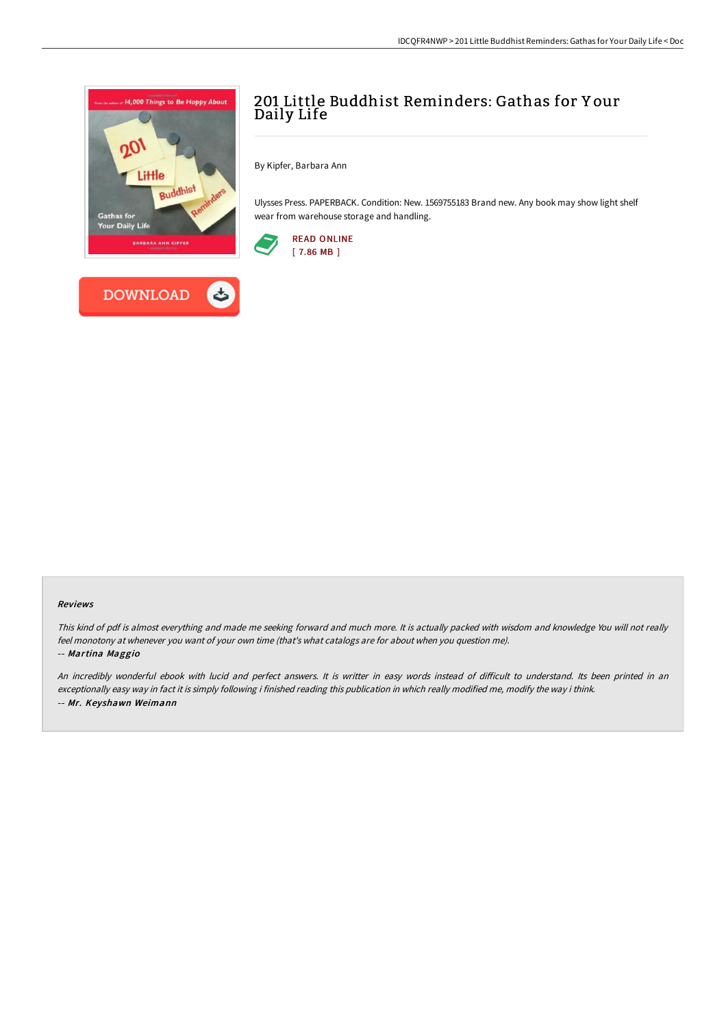



## 201 Little Buddhist Reminders: Gathas for Y our Daily Life

By Kipfer, Barbara Ann

Ulysses Press. PAPERBACK. Condition: New. 1569755183 Brand new. Any book may show light shelf wear from warehouse storage and handling.



# Reviews

This kind of pdf is almost everything and made me seeking forward and much more. It is actually packed with wisdom and knowledge You will not really feel monotony at whenever you want of your own time (that's what catalogs are for about when you question me). -- Martina Maggio

An incredibly wonderful ebook with lucid and perfect answers. It is writter in easy words instead of difficult to understand. Its been printed in an exceptionally easy way in fact it is simply following i finished reading this publication in which really modified me, modify the way i think. -- Mr. Keyshawn Weimann